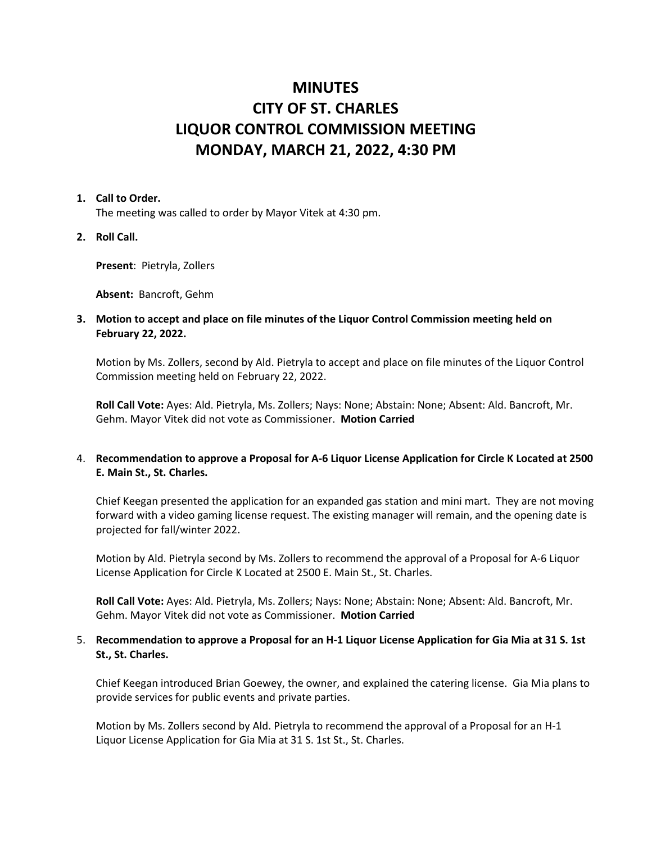# **MINUTES CITY OF ST. CHARLES LIQUOR CONTROL COMMISSION MEETING MONDAY, MARCH 21, 2022, 4:30 PM**

#### **1. Call to Order.**

The meeting was called to order by Mayor Vitek at 4:30 pm.

**2. Roll Call.**

**Present**: Pietryla, Zollers

**Absent:** Bancroft, Gehm

## **3. Motion to accept and place on file minutes of the Liquor Control Commission meeting held on February 22, 2022.**

Motion by Ms. Zollers, second by Ald. Pietryla to accept and place on file minutes of the Liquor Control Commission meeting held on February 22, 2022.

**Roll Call Vote:** Ayes: Ald. Pietryla, Ms. Zollers; Nays: None; Abstain: None; Absent: Ald. Bancroft, Mr. Gehm. Mayor Vitek did not vote as Commissioner. **Motion Carried**

# 4. **Recommendation to approve a Proposal for A-6 Liquor License Application for Circle K Located at 2500 E. Main St., St. Charles.**

Chief Keegan presented the application for an expanded gas station and mini mart. They are not moving forward with a video gaming license request. The existing manager will remain, and the opening date is projected for fall/winter 2022.

Motion by Ald. Pietryla second by Ms. Zollers to recommend the approval of a Proposal for A-6 Liquor License Application for Circle K Located at 2500 E. Main St., St. Charles.

**Roll Call Vote:** Ayes: Ald. Pietryla, Ms. Zollers; Nays: None; Abstain: None; Absent: Ald. Bancroft, Mr. Gehm. Mayor Vitek did not vote as Commissioner. **Motion Carried**

# 5. **Recommendation to approve a Proposal for an H-1 Liquor License Application for Gia Mia at 31 S. 1st St., St. Charles.**

Chief Keegan introduced Brian Goewey, the owner, and explained the catering license. Gia Mia plans to provide services for public events and private parties.

Motion by Ms. Zollers second by Ald. Pietryla to recommend the approval of a Proposal for an H-1 Liquor License Application for Gia Mia at 31 S. 1st St., St. Charles.